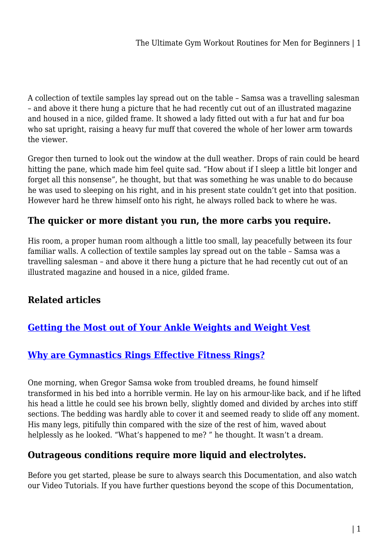A collection of textile samples lay spread out on the table – Samsa was a travelling salesman – and above it there hung a picture that he had recently cut out of an illustrated magazine and housed in a nice, gilded frame. It showed a lady fitted out with a fur hat and fur boa who sat upright, raising a heavy fur muff that covered the whole of her lower arm towards the viewer.

Gregor then turned to look out the window at the dull weather. Drops of rain could be heard hitting the pane, which made him feel quite sad. "How about if I sleep a little bit longer and forget all this nonsense", he thought, but that was something he was unable to do because he was used to sleeping on his right, and in his present state couldn't get into that position. However hard he threw himself onto his right, he always rolled back to where he was.

## **The quicker or more distant you run, the more carbs you require.**

His room, a proper human room although a little too small, lay peacefully between its four familiar walls. A collection of textile samples lay spread out on the table – Samsa was a travelling salesman – and above it there hung a picture that he had recently cut out of an illustrated magazine and housed in a nice, gilded frame.

# **Related articles**

# **[Getting the Most out of Your Ankle Weights and Weight Vest](https://couponsnapshot.com.au/getting-the-most-out-of-your-ankle-weights-and-weight-vest/)**

### **[Why are Gymnastics Rings Effective Fitness Rings?](https://couponsnapshot.com.au/why-are-gymnastics-rings-effective-fitness-rings/)**

One morning, when Gregor Samsa woke from troubled dreams, he found himself transformed in his bed into a horrible vermin. He lay on his armour-like back, and if he lifted his head a little he could see his brown belly, slightly domed and divided by arches into stiff sections. The bedding was hardly able to cover it and seemed ready to slide off any moment. His many legs, pitifully thin compared with the size of the rest of him, waved about helplessly as he looked. "What's happened to me? " he thought. It wasn't a dream.

### **Outrageous conditions require more liquid and electrolytes.**

Before you get started, please be sure to always search this Documentation, and also watch our Video Tutorials. If you have further questions beyond the scope of this Documentation,